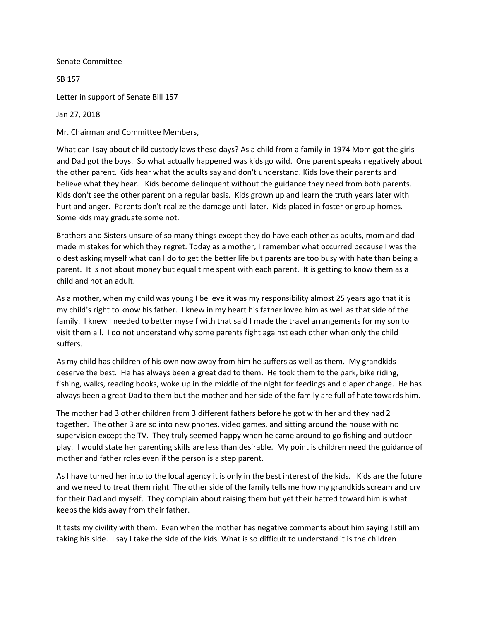Senate Committee

SB 157

Letter in support of Senate Bill 157

Jan 27, 2018

Mr. Chairman and Committee Members,

What can I say about child custody laws these days? As a child from a family in 1974 Mom got the girls and Dad got the boys. So what actually happened was kids go wild. One parent speaks negatively about the other parent. Kids hear what the adults say and don't understand. Kids love their parents and believe what they hear. Kids become delinquent without the guidance they need from both parents. Kids don't see the other parent on a regular basis. Kids grown up and learn the truth years later with hurt and anger. Parents don't realize the damage until later. Kids placed in foster or group homes. Some kids may graduate some not.

Brothers and Sisters unsure of so many things except they do have each other as adults, mom and dad made mistakes for which they regret. Today as a mother, I remember what occurred because I was the oldest asking myself what can I do to get the better life but parents are too busy with hate than being a parent. It is not about money but equal time spent with each parent. It is getting to know them as a child and not an adult.

As a mother, when my child was young I believe it was my responsibility almost 25 years ago that it is my child's right to know his father. I knew in my heart his father loved him as well as that side of the family. I knew I needed to better myself with that said I made the travel arrangements for my son to visit them all. I do not understand why some parents fight against each other when only the child suffers.

As my child has children of his own now away from him he suffers as well as them. My grandkids deserve the best. He has always been a great dad to them. He took them to the park, bike riding, fishing, walks, reading books, woke up in the middle of the night for feedings and diaper change. He has always been a great Dad to them but the mother and her side of the family are full of hate towards him.

The mother had 3 other children from 3 different fathers before he got with her and they had 2 together. The other 3 are so into new phones, video games, and sitting around the house with no supervision except the TV. They truly seemed happy when he came around to go fishing and outdoor play. I would state her parenting skills are less than desirable. My point is children need the guidance of mother and father roles even if the person is a step parent.

As I have turned her into to the local agency it is only in the best interest of the kids. Kids are the future and we need to treat them right. The other side of the family tells me how my grandkids scream and cry for their Dad and myself. They complain about raising them but yet their hatred toward him is what keeps the kids away from their father.

It tests my civility with them. Even when the mother has negative comments about him saying I still am taking his side. I say I take the side of the kids. What is so difficult to understand it is the children